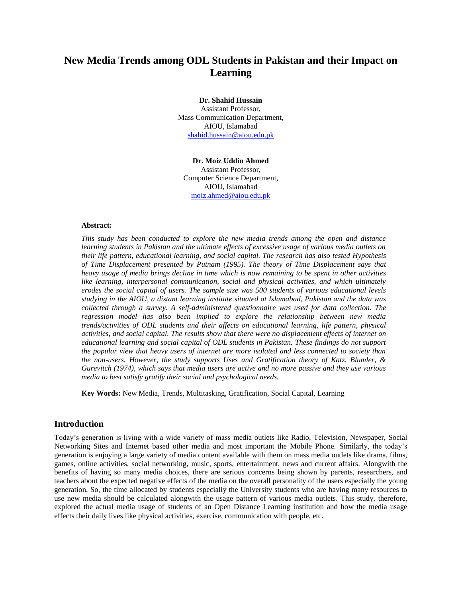# **New Media Trends among ODL Students in Pakistan and their Impact on Learning**

**Dr. Shahid Hussain** Assistant Professor, Mass Communication Department, AIOU, Islamabad [shahid.hussain@aiou.edu.pk](mailto:shahid.hussain@aiou.edu.pk)

**Dr. Moiz Uddin Ahmed** Assistant Professor, Computer Science Department, AIOU, Islamabad [moiz.ahmed@aiou.edu.pk](mailto:moiz.ahmed@aiou.edu.pk)

#### **Abstract:**

*This study has been conducted to explore the new media trends among the open and distance learning students in Pakistan and the ultimate effects of excessive usage of various media outlets on their life pattern, educational learning, and social capital. The research has also tested Hypothesis of Time Displacement presented by Putnam (1995). The theory of Time Displacement says that heavy usage of media brings decline in time which is now remaining to be spent in other activities like learning, interpersonal communication, social and physical activities, and which ultimately erodes the social capital of users. The sample size was 500 students of various educational levels studying in the AIOU, a distant learning institute situated at Islamabad, Pakistan and the data was collected through a survey. A self-administered questionnaire was used for data collection. The regression model has also been implied to explore the relationship between new media trends/activities of ODL students and their affects on educational learning, life pattern, physical activities, and social capital. The results show that there were no displacement effects of internet on educational learning and social capital of ODL students in Pakistan. These findings do not support the popular view that heavy users of internet are more isolated and less connected to society than the non-users. However, the study supports Uses and Gratification theory of Katz, Blumler, & Gurevitch (1974), which says that media users are active and no more passive and they use various media to best satisfy gratify their social and psychological needs.*

**Key Words:** New Media, Trends, Multitasking, Gratification, Social Capital, Learning

#### **Introduction**

Today's generation is living with a wide variety of mass media outlets like Radio, Television, Newspaper, Social Networking Sites and Internet based other media and most important the Mobile Phone. Similarly, the today's generation is enjoying a large variety of media content available with them on mass media outlets like drama, films, games, online activities, social networking, music, sports, entertainment, news and current affairs. Alongwith the benefits of having so many media choices, there are serious concerns being shown by parents, researchers, and teachers about the expected negative effects of the media on the overall personality of the users especially the young generation. So, the time allocated by students especially the University students who are having many resources to use new media should be calculated alongwith the usage pattern of various media outlets. This study, therefore, explored the actual media usage of students of an Open Distance Learning institution and how the media usage effects their daily lives like physical activities, exercise, communication with people, etc.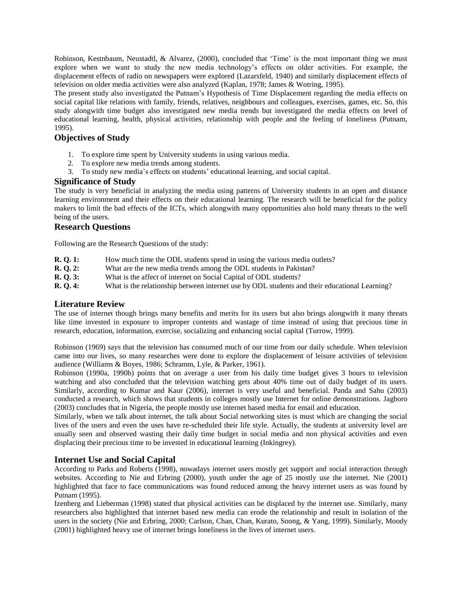Robinson, Kestnbaum, Neustadtl, & Alvarez, (2000), concluded that 'Time' is the most important thing we must explore when we want to study the new media technology's effects on older activities. For example, the displacement effects of radio on newspapers were explored (Lazarsfeld, 1940) and similarly displacement effects of television on older media activities were also analyzed (Kaplan, 1978; James & Wotring, 1995).

The present study also investigated the Putnam's Hypothesis of Time Displacement regarding the media effects on social capital like relations with family, friends, relatives, neighbours and colleagues, exercises, games, etc. So, this study alongwith time budget also investigated new media trends but investigated the media effects on level of educational learning, health, physical activities, relationship with people and the feeling of loneliness (Putnam, 1995).

## **Objectives of Study**

- 1. To explore time spent by University students in using various media.
- 2. To explore new media trends among students.
- 3. To study new media's effects on students' educational learning, and social capital.

### **Significance of Study**

The study is very beneficial in analyzing the media using patterns of University students in an open and distance learning environment and their effects on their educational learning. The research will be beneficial for the policy makers to limit the bad effects of the ICTs, which alongwith many opportunities also hold many threats to the well being of the users.

## **Research Questions**

Following are the Research Questions of the study:

- **R.** Q. 1: How much time the ODL students spend in using the various media outlets?
- **R. Q. 2:** What are the new media trends among the ODL students in Pakistan?
- **R. Q. 3:** What is the affect of internet on Social Capital of ODL students?<br>**R. O. 4:** What is the relationship between internet use by ODL students an
- What is the relationship between internet use by ODL students and their educational Learning?

## **Literature Review**

The use of internet though brings many benefits and merits for its users but also brings alongwith it many threats like time invested in exposure to improper contents and wastage of time instead of using that precious time in research, education, information, exercise, socializing and enhancing social capital (Turrow, 1999).

Robinson (1969) says that the television has consumed much of our time from our daily schedule. When television came into our lives, so many researches were done to explore the displacement of leisure activities of television audience (Williams & Boyes, 1986; Schramm, Lyle, & Parker, 1961).

Robinson (1990a, 1990b) points that on average a user from his daily time budget gives 3 hours to television watching and also concluded that the television watching gets about 40% time out of daily budget of its users. Similarly, according to Kumar and Kaur (2006), internet is very useful and beneficial. Panda and Sahu (2003) conducted a research, which shows that students in colleges mostly use Internet for online demonstrations. Jagboro (2003) concludes that in Nigeria, the people mostly use internet based media for email and education.

Similarly, when we talk about internet, the talk about Social networking sites is must which are changing the social lives of the users and even the uses have re-scheduled their life style. Actually, the students at university level are usually seen and observed wasting their daily time budget in social media and non physical activities and even displacing their precious time to be invested in educational learning (Inkingrey).

## **Internet Use and Social Capital**

According to Parks and Roberts (1998), nowadays internet users mostly get support and social interaction through websites. According to Nie and Erbring (2000), youth under the age of 25 mostly use the internet. Nie (2001) highlighted that face to face communications was found reduced among the heavy internet users as was found by Putnam (1995).

Izenberg and Lieberman (1998) stated that physical activities can be displaced by the internet use. Similarly, many researchers also highlighted that internet based new media can erode the relationship and result in isolation of the users in the society (Nie and Erbring, 2000; Carlson, Chan, Chan, Kurato, Soong, & Yang, 1999). Similarly, Moody (2001) highlighted heavy use of internet brings loneliness in the lives of internet users.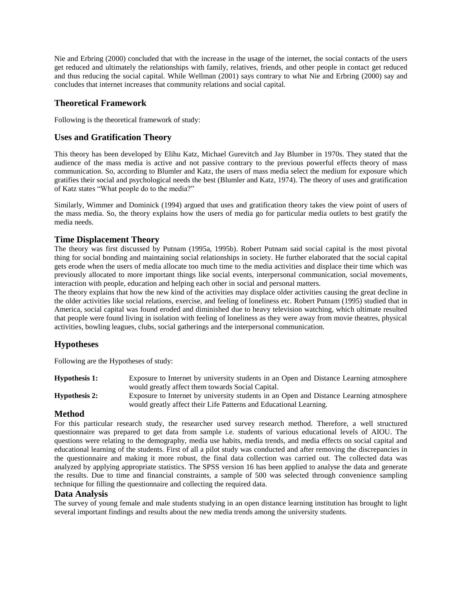Nie and Erbring (2000) concluded that with the increase in the usage of the internet, the social contacts of the users get reduced and ultimately the relationships with family, relatives, friends, and other people in contact get reduced and thus reducing the social capital. While Wellman (2001) says contrary to what Nie and Erbring (2000) say and concludes that internet increases that community relations and social capital.

## **Theoretical Framework**

Following is the theoretical framework of study:

## **Uses and Gratification Theory**

This theory has been developed by Elihu Katz, Michael Gurevitch and Jay Blumber in 1970s. They stated that the audience of the mass media is active and not passive contrary to the previous powerful effects theory of mass communication. So, according to Blumler and Katz, the users of mass media select the medium for exposure which gratifies their social and psychological needs the best (Blumler and Katz, 1974). The theory of uses and gratification of Katz states "What people do to the media?"

Similarly, Wimmer and Dominick (1994) argued that uses and gratification theory takes the view point of users of the mass media. So, the theory explains how the users of media go for particular media outlets to best gratify the media needs.

## **Time Displacement Theory**

The theory was first discussed by Putnam (1995a, 1995b). Robert Putnam said social capital is the most pivotal thing for social bonding and maintaining social relationships in society. He further elaborated that the social capital gets erode when the users of media allocate too much time to the media activities and displace their time which was previously allocated to more important things like social events, interpersonal communication, social movements, interaction with people, education and helping each other in social and personal matters.

The theory explains that how the new kind of the activities may displace older activities causing the great decline in the older activities like social relations, exercise, and feeling of loneliness etc. Robert Putnam (1995) studied that in America, social capital was found eroded and diminished due to heavy television watching, which ultimate resulted that people were found living in isolation with feeling of loneliness as they were away from movie theatres, physical activities, bowling leagues, clubs, social gatherings and the interpersonal communication.

## **Hypotheses**

Following are the Hypotheses of study:

- **Hypothesis 1:** Exposure to Internet by university students in an Open and Distance Learning atmosphere would greatly affect them towards Social Capital.
- **Hypothesis 2:** Exposure to Internet by university students in an Open and Distance Learning atmosphere would greatly affect their Life Patterns and Educational Learning.

## **Method**

For this particular research study, the researcher used survey research method. Therefore, a well structured questionnaire was prepared to get data from sample i.e. students of various educational levels of AIOU. The questions were relating to the demography, media use habits, media trends, and media effects on social capital and educational learning of the students. First of all a pilot study was conducted and after removing the discrepancies in the questionnaire and making it more robust, the final data collection was carried out. The collected data was analyzed by applying appropriate statistics. The SPSS version 16 has been applied to analyse the data and generate the results. Due to time and financial constraints, a sample of 500 was selected through convenience sampling technique for filling the questionnaire and collecting the required data.

### **Data Analysis**

The survey of young female and male students studying in an open distance learning institution has brought to light several important findings and results about the new media trends among the university students.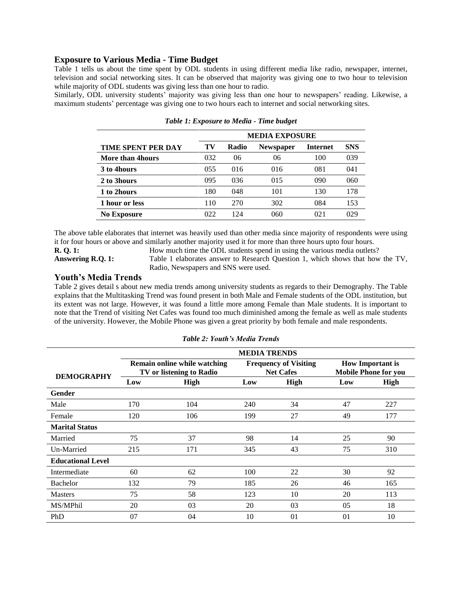### **Exposure to Various Media - Time Budget**

Table 1 tells us about the time spent by ODL students in using different media like radio, newspaper, internet, television and social networking sites. It can be observed that majority was giving one to two hour to television while majority of ODL students was giving less than one hour to radio.

Similarly, ODL university students' majority was giving less than one hour to newspapers' reading. Likewise, a maximum students' percentage was giving one to two hours each to internet and social networking sites.

|                          | <b>MEDIA EXPOSURE</b> |       |                  |          |            |
|--------------------------|-----------------------|-------|------------------|----------|------------|
| TIME SPENT PER DAY       | TV                    | Radio | <b>Newspaper</b> | Internet | <b>SNS</b> |
| <b>More than 4 hours</b> | 032                   | 06    | 06               | 100      | 039        |
| 3 to 4 hours             | 055                   | 016   | 016              | 081      | 041        |
| 2 to 3hours              | 095                   | 036   | 015              | 090      | 060        |
| 1 to 2hours              | 180                   | 048   | 101              | 130      | 178        |
| 1 hour or less           | 110                   | 270   | 302              | 084      | 153        |
| <b>No Exposure</b>       | 022                   | 124   | 060              | 021      | 029        |

*Table 1: Exposure to Media - Time budget*

The above table elaborates that internet was heavily used than other media since majority of respondents were using it for four hours or above and similarly another majority used it for more than three hours upto four hours.

**R. Q. 1:** How much time the ODL students spend in using the various media outlets? **Answering R.O. 1:** Table 1 elaborates answer to Research Question 1, which shows that how the TV,

Radio, Newspapers and SNS were used.

## **Youth's Media Trends**

Table 2 gives detail s about new media trends among university students as regards to their Demography. The Table explains that the Multitasking Trend was found present in both Male and Female students of the ODL institution, but its extent was not large. However, it was found a little more among Female than Male students. It is important to note that the Trend of visiting Net Cafes was found too much diminished among the female as well as male students of the university. However, the Mobile Phone was given a great priority by both female and male respondents.

|                          | <b>MEDIA TRENDS</b>                                      |      |                                                  |      |                                                        |             |  |
|--------------------------|----------------------------------------------------------|------|--------------------------------------------------|------|--------------------------------------------------------|-------------|--|
| <b>DEMOGRAPHY</b>        | Remain online while watching<br>TV or listening to Radio |      | <b>Frequency of Visiting</b><br><b>Net Cafes</b> |      | <b>How Important is</b><br><b>Mobile Phone for you</b> |             |  |
|                          | Low                                                      | High | Low                                              | High | Low                                                    | <b>High</b> |  |
| <b>Gender</b>            |                                                          |      |                                                  |      |                                                        |             |  |
| Male                     | 170                                                      | 104  | 240                                              | 34   | 47                                                     | 227         |  |
| Female                   | 120                                                      | 106  | 199                                              | 27   | 49                                                     | 177         |  |
| <b>Marital Status</b>    |                                                          |      |                                                  |      |                                                        |             |  |
| Married                  | 75                                                       | 37   | 98                                               | 14   | 25                                                     | 90          |  |
| Un-Married               | 215                                                      | 171  | 345                                              | 43   | 75                                                     | 310         |  |
| <b>Educational Level</b> |                                                          |      |                                                  |      |                                                        |             |  |
| Intermediate             | 60                                                       | 62   | 100                                              | 22   | 30                                                     | 92          |  |
| Bachelor                 | 132                                                      | 79   | 185                                              | 26   | 46                                                     | 165         |  |
| <b>Masters</b>           | 75                                                       | 58   | 123                                              | 10   | 20                                                     | 113         |  |
| MS/MPhil                 | 20                                                       | 03   | 20                                               | 03   | 05                                                     | 18          |  |
| PhD                      | 07                                                       | 04   | 10                                               | 01   | 0 <sub>1</sub>                                         | 10          |  |

#### *Table 2: Youth's Media Trends*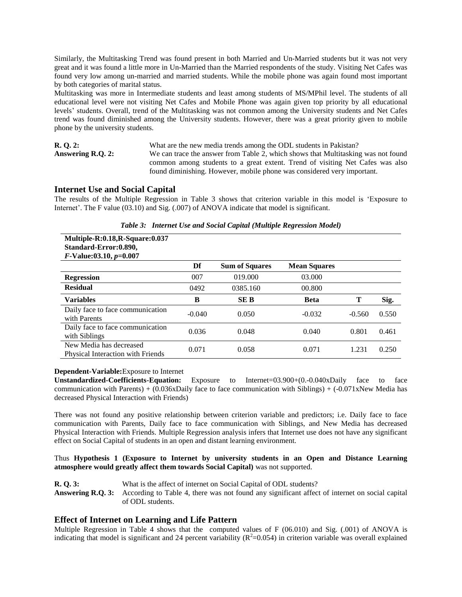Similarly, the Multitasking Trend was found present in both Married and Un-Married students but it was not very great and it was found a little more in Un-Married than the Married respondents of the study. Visiting Net Cafes was found very low among un-married and married students. While the mobile phone was again found most important by both categories of marital status.

Multitasking was more in Intermediate students and least among students of MS/MPhil level. The students of all educational level were not visiting Net Cafes and Mobile Phone was again given top priority by all educational levels' students. Overall, trend of the Multitasking was not common among the University students and Net Cafes trend was found diminished among the University students. However, there was a great priority given to mobile phone by the university students.

**R. Q. 2:** What are the new media trends among the ODL students in Pakistan? **Answering R.Q. 2:** We can trace the answer from Table 2, which shows that Multitasking was not found common among students to a great extent. Trend of visiting Net Cafes was also found diminishing. However, mobile phone was considered very important.

### **Internet Use and Social Capital**

The results of the Multiple Regression in Table 3 shows that criterion variable in this model is 'Exposure to Internet'. The F value (03.10) and Sig. (.007) of ANOVA indicate that model is significant.

| Table 3: Internet Use and Social Capital (Multiple Regression Model) |  |  |
|----------------------------------------------------------------------|--|--|
|----------------------------------------------------------------------|--|--|

| Multiple-R:0.18, R-Square: 0.037<br>Standard-Error: 0.890,   |          |                       |                     |          |       |
|--------------------------------------------------------------|----------|-----------------------|---------------------|----------|-------|
| $F\text{-}Value:03.10, p=0.007$                              |          |                       |                     |          |       |
|                                                              | Df       | <b>Sum of Squares</b> | <b>Mean Squares</b> |          |       |
| <b>Regression</b>                                            | 007      | 019.000               | 03.000              |          |       |
| <b>Residual</b>                                              | 0492     | 0385.160              | 00.800              |          |       |
| <b>Variables</b>                                             | B        | SE B                  | <b>Beta</b>         | Т        | Sig.  |
| Daily face to face communication<br>with Parents             | $-0.040$ | 0.050                 | $-0.032$            | $-0.560$ | 0.550 |
| Daily face to face communication<br>with Siblings            | 0.036    | 0.048                 | 0.040               | 0.801    | 0.461 |
| New Media has decreased<br>Physical Interaction with Friends | 0.071    | 0.058                 | 0.071               | 1.231    | 0.250 |

#### **Dependent-Variable:**Exposure to Internet

**Unstandardized-Coefficients-Equation:** Exposure to Internet=03.900+(0.-0.040xDaily face to face communication with Parents) +  $(0.036x$ Daily face to face communication with Siblings) +  $(-0.071x)$ New Media has decreased Physical Interaction with Friends)

There was not found any positive relationship between criterion variable and predictors; i.e. Daily face to face communication with Parents, Daily face to face communication with Siblings, and New Media has decreased Physical Interaction with Friends. Multiple Regression analysis infers that Internet use does not have any significant effect on Social Capital of students in an open and distant learning environment.

Thus **Hypothesis 1 (Exposure to Internet by university students in an Open and Distance Learning atmosphere would greatly affect them towards Social Capital)** was not supported.

**R. Q. 3:** What is the affect of internet on Social Capital of ODL students?<br>Answering R.Q. 3: According to Table 4, there was not found any significant affect According to Table 4, there was not found any significant affect of internet on social capital of ODL students.

### **Effect of Internet on Learning and Life Pattern**

Multiple Regression in Table 4 shows that the computed values of F (06.010) and Sig. (.001) of ANOVA is indicating that model is significant and 24 percent variability  $(R^2=0.054)$  in criterion variable was overall explained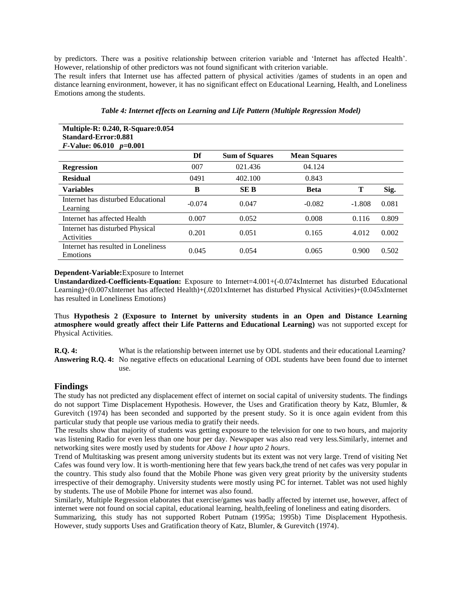by predictors. There was a positive relationship between criterion variable and 'Internet has affected Health'. However, relationship of other predictors was not found significant with criterion variable.

The result infers that Internet use has affected pattern of physical activities /games of students in an open and distance learning environment, however, it has no significant effect on Educational Learning, Health, and Loneliness Emotions among the students.

| <b>Multiple-R: 0.240, R-Square:0.054</b><br>Standard-Error: 0.881<br><i>F</i> -Value: 06.010 $p=0.001$ |          |                       |                     |          |       |
|--------------------------------------------------------------------------------------------------------|----------|-----------------------|---------------------|----------|-------|
|                                                                                                        | Df       | <b>Sum of Squares</b> | <b>Mean Squares</b> |          |       |
| <b>Regression</b>                                                                                      | 007      | 021.436               | 04.124              |          |       |
| <b>Residual</b>                                                                                        | 0491     | 402.100               | 0.843               |          |       |
| <b>Variables</b>                                                                                       | B        | <b>SEB</b>            | <b>Beta</b>         | Т        | Sig.  |
| Internet has disturbed Educational<br>Learning                                                         | $-0.074$ | 0.047                 | $-0.082$            | $-1.808$ | 0.081 |
| Internet has affected Health                                                                           | 0.007    | 0.052                 | 0.008               | 0.116    | 0.809 |
| Internet has disturbed Physical<br>Activities                                                          | 0.201    | 0.051                 | 0.165               | 4.012    | 0.002 |
| Internet has resulted in Loneliness<br>Emotions                                                        | 0.045    | 0.054                 | 0.065               | 0.900    | 0.502 |

### *Table 4: Internet effects on Learning and Life Pattern (Multiple Regression Model)*

#### **Dependent-Variable:**Exposure to Internet

**Unstandardized-Coefficients-Equation:** Exposure to Internet=4.001+(-0.074xInternet has disturbed Educational Learning)+(0.007xInternet has affected Health)+(.0201xInternet has disturbed Physical Activities)+(0.045xInternet has resulted in Loneliness Emotions)

Thus **Hypothesis 2 (Exposure to Internet by university students in an Open and Distance Learning atmosphere would greatly affect their Life Patterns and Educational Learning)** was not supported except for Physical Activities.

**R.Q. 4:** What is the relationship between internet use by ODL students and their educational Learning? **Answering R.Q. 4:** No negative effects on educational Learning of ODL students have been found due to internet use.

### **Findings**

The study has not predicted any displacement effect of internet on social capital of university students. The findings do not support Time Displacement Hypothesis. However, the Uses and Gratification theory by Katz, Blumler, & Gurevitch (1974) has been seconded and supported by the present study. So it is once again evident from this particular study that people use various media to gratify their needs.

The results show that majority of students was getting exposure to the television for one to two hours, and majority was listening Radio for even less than one hour per day. Newspaper was also read very less*.*Similarly, internet and networking sites were mostly used by students for *Above 1 hour upto 2 hours*.

Trend of Multitasking was present among university students but its extent was not very large. Trend of visiting Net Cafes was found very low. It is worth-mentioning here that few years back,the trend of net cafes was very popular in the country. This study also found that the Mobile Phone was given very great priority by the university students irrespective of their demography. University students were mostly using PC for internet. Tablet was not used highly by students. The use of Mobile Phone for internet was also found.

Similarly, Multiple Regression elaborates that exercise/games was badly affected by internet use, however, affect of internet were not found on social capital, educational learning, health,feeling of loneliness and eating disorders.

Summarizing, this study has not supported Robert Putnam (1995a; 1995b) Time Displacement Hypothesis. However, study supports Uses and Gratification theory of Katz, Blumler, & Gurevitch (1974).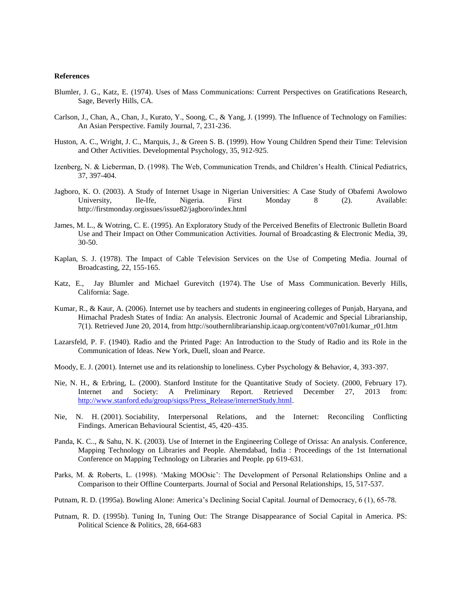#### **References**

- Blumler, J. G., Katz, E. (1974). Uses of Mass Communications: Current Perspectives on Gratifications Research, Sage, Beverly Hills, CA.
- Carlson, J., Chan, A., Chan, J., Kurato, Y., Soong, C., & Yang, J. (1999). The Influence of Technology on Families: An Asian Perspective. Family Journal, 7, 231-236.
- Huston, A. C., Wright, J. C., Marquis, J., & Green S. B. (1999). How Young Children Spend their Time: Television and Other Activities. Developmental Psychology, 35, 912-925.
- Izenberg, N. & Lieberman, D. (1998). The Web, Communication Trends, and Children's Health. Clinical Pediatrics, 37, 397-404.
- Jagboro, K. O. (2003). A Study of Internet Usage in Nigerian Universities: A Case Study of Obafemi Awolowo University, Ile-Ife, Nigeria. First Monday 8 (2). Available: http://firstmonday.orgissues/issue82/jagboro/index.html
- James, M. L., & Wotring, C. E. (1995). An Exploratory Study of the Perceived Benefits of Electronic Bulletin Board Use and Their Impact on Other Communication Activities. Journal of Broadcasting & Electronic Media, 39, 30-50.
- Kaplan, S. J. (1978). The Impact of Cable Television Services on the Use of Competing Media. Journal of Broadcasting, 22, 155-165.
- Katz, E., Jay Blumler and Michael Gurevitch (1974). The Use of Mass Communication. Beverly Hills, California: Sage.
- Kumar, R., & Kaur, A. (2006). Internet use by teachers and students in engineering colleges of Punjab, Haryana, and Himachal Pradesh States of India: An analysis. Electronic Journal of Academic and Special Librarianship, 7(1). Retrieved June 20, 2014, from [http://southernlibrarianship.icaap.org/content/v07n01/kumar\\_r01.htm](http://southernlibrarianship.icaap.org/content/v07n01/kumar_r01.htm)
- Lazarsfeld, P. F. (1940). Radio and the Printed Page: An Introduction to the Study of Radio and its Role in the Communication of Ideas. New York, Duell, sloan and Pearce.
- Moody, E. J. (2001). Internet use and its relationship to loneliness. Cyber Psychology & Behavior, 4, 393-397.
- Nie, N. H., & Erbring, L. (2000). Stanford Institute for the Quantitative Study of Society. (2000, February 17). Internet and Society: A Preliminary Report. Retrieved December 27, 2013 from: [http://www.stanford.edu/group/siqss/Press\\_Release/internetStudy.html.](http://www.stanford.edu/group/siqss/Press_Release/internetStudy.html)
- Nie, N. H. (2001). Sociability, Interpersonal Relations, and the Internet: Reconciling Conflicting Findings. American Behavioural Scientist, 45, 420–435.
- Panda, K. C.., & Sahu, N. K. (2003). Use of Internet in the Engineering College of Orissa: An analysis. Conference, Mapping Technology on Libraries and People. Ahemdabad, India : Proceedings of the 1st International Conference on Mapping Technology on Libraries and People. pp 619-631.
- Parks, M. & Roberts, L. (1998). 'Making MOOsic': The Development of Personal Relationships Online and a Comparison to their Offline Counterparts. Journal of Social and Personal Relationships, 15, 517-537.
- Putnam, R. D. (1995a). Bowling Alone: America's Declining Social Capital. Journal of Democracy, 6 (1), 65-78.
- Putnam, R. D. (1995b). Tuning In, Tuning Out: The Strange Disappearance of Social Capital in America. PS: Political Science & Politics, 28, 664-683